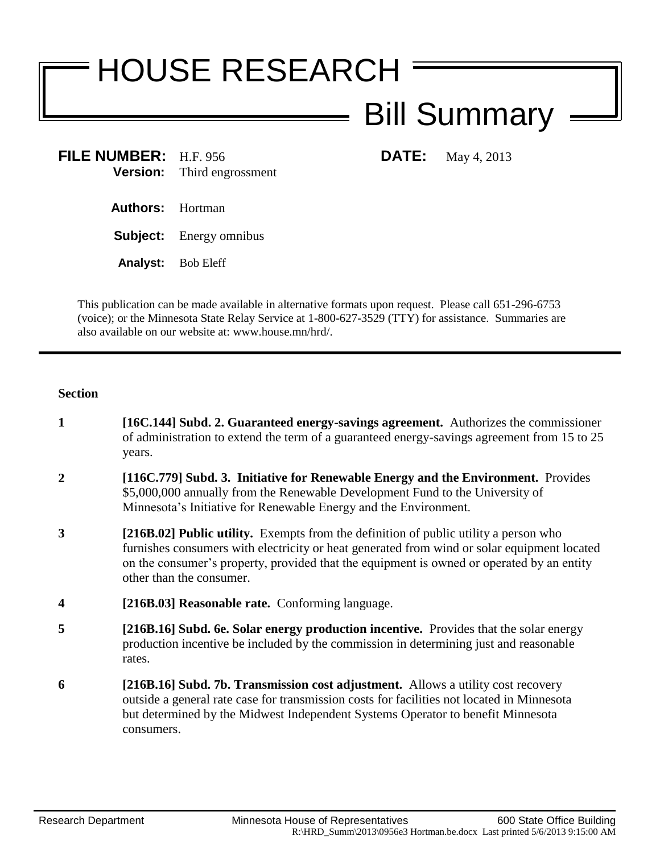# HOUSE RESEARCH Bill Summary

**FILE NUMBER:** H.F. 956 **DATE:** May 4, 2013 **Version:** Third engrossment

- **Authors:** Hortman
- **Subject:** Energy omnibus
- **Analyst:** Bob Eleff

This publication can be made available in alternative formats upon request. Please call 651-296-6753 (voice); or the Minnesota State Relay Service at 1-800-627-3529 (TTY) for assistance. Summaries are also available on our website at: www.house.mn/hrd/.

## **Section**

- **1 [16C.144] Subd. 2. Guaranteed energy-savings agreement.** Authorizes the commissioner of administration to extend the term of a guaranteed energy-savings agreement from 15 to 25 years.
- **2 [116C.779] Subd. 3. Initiative for Renewable Energy and the Environment.** Provides \$5,000,000 annually from the Renewable Development Fund to the University of Minnesota's Initiative for Renewable Energy and the Environment.
- **3 [216B.02] Public utility.** Exempts from the definition of public utility a person who furnishes consumers with electricity or heat generated from wind or solar equipment located on the consumer's property, provided that the equipment is owned or operated by an entity other than the consumer.
- **4 [216B.03] Reasonable rate.** Conforming language.
- **5 [216B.16] Subd. 6e. Solar energy production incentive.** Provides that the solar energy production incentive be included by the commission in determining just and reasonable rates.
- **6 [216B.16] Subd. 7b. Transmission cost adjustment.** Allows a utility cost recovery outside a general rate case for transmission costs for facilities not located in Minnesota but determined by the Midwest Independent Systems Operator to benefit Minnesota consumers.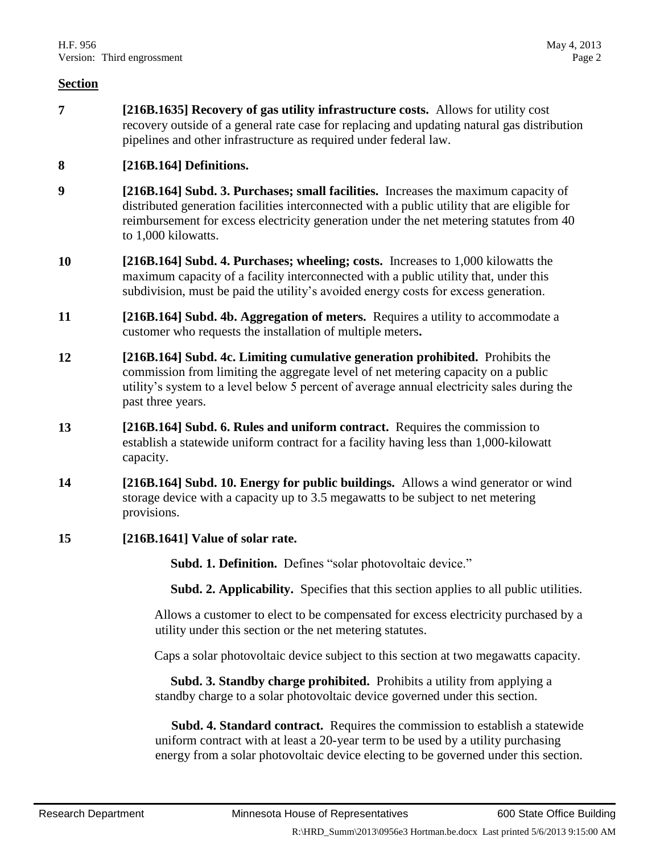<span id="page-1-0"></span>**7 [216B.1635] Recovery of gas utility infrastructure costs.** Allows for utility cost recovery outside of a general rate case for replacing and updating natural gas distribution pipelines and other infrastructure as required under federal law.

# **8 [216B.164] Definitions.**

- **9 [216B.164] Subd. 3. Purchases; small facilities.** Increases the maximum capacity of distributed generation facilities interconnected with a public utility that are eligible for reimbursement for excess electricity generation under the net metering statutes from 40 to 1,000 kilowatts.
- **10 [216B.164] Subd. 4. Purchases; wheeling; costs.** Increases to 1,000 kilowatts the maximum capacity of a facility interconnected with a public utility that, under this subdivision, must be paid the utility's avoided energy costs for excess generation.
- **11 [216B.164] Subd. 4b. Aggregation of meters.** Requires a utility to accommodate a customer who requests the installation of multiple meters**.**
- **12 [216B.164] Subd. 4c. Limiting cumulative generation prohibited.** Prohibits the commission from limiting the aggregate level of net metering capacity on a public utility's system to a level below 5 percent of average annual electricity sales during the past three years.
- **13 [216B.164] Subd. 6. Rules and uniform contract.** Requires the commission to establish a statewide uniform contract for a facility having less than 1,000-kilowatt capacity.
- **14 [216B.164] Subd. 10. Energy for public buildings.** Allows a wind generator or wind storage device with a capacity up to 3.5 megawatts to be subject to net metering provisions.
- **15 [216B.1641] Value of solar rate.**

**Subd. 1. Definition.** Defines "solar photovoltaic device."

**Subd. 2. Applicability.** Specifies that this section applies to all public utilities.

Allows a customer to elect to be compensated for excess electricity purchased by a utility under this section or the net metering statutes.

Caps a solar photovoltaic device subject to this section at two megawatts capacity.

 **Subd. 3. Standby charge prohibited.** Prohibits a utility from applying a standby charge to a solar photovoltaic device governed under this section.

 **Subd. 4. Standard contract.** Requires the commission to establish a statewide uniform contract with at least a 20-year term to be used by a utility purchasing energy from a solar photovoltaic device electing to be governed under this section.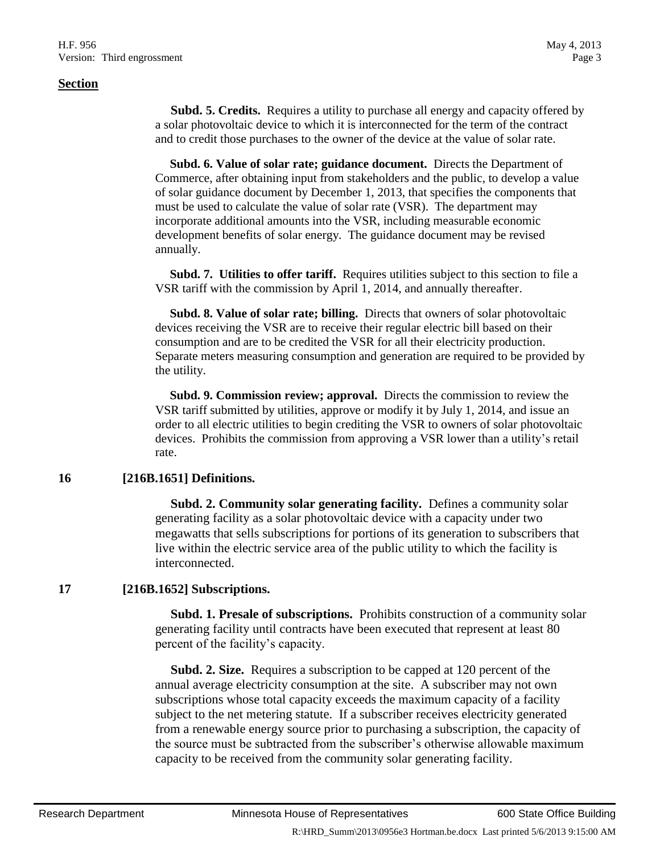**Subd. 5. Credits.** Requires a utility to purchase all energy and capacity offered by a solar photovoltaic device to which it is interconnected for the term of the contract and to credit those purchases to the owner of the device at the value of solar rate.

 **Subd. 6. Value of solar rate; guidance document.** Directs the Department of Commerce, after obtaining input from stakeholders and the public, to develop a value of solar guidance document by December 1, 2013, that specifies the components that must be used to calculate the value of solar rate (VSR). The department may incorporate additional amounts into the VSR, including measurable economic development benefits of solar energy. The guidance document may be revised annually.

 **Subd. 7. Utilities to offer tariff.** Requires utilities subject to this section to file a VSR tariff with the commission by April 1, 2014, and annually thereafter.

 **Subd. 8. Value of solar rate; billing.** Directs that owners of solar photovoltaic devices receiving the VSR are to receive their regular electric bill based on their consumption and are to be credited the VSR for all their electricity production. Separate meters measuring consumption and generation are required to be provided by the utility.

 **Subd. 9. Commission review; approval.** Directs the commission to review the VSR tariff submitted by utilities, approve or modify it by July 1, 2014, and issue an order to all electric utilities to begin crediting the VSR to owners of solar photovoltaic devices. Prohibits the commission from approving a VSR lower than a utility's retail rate.

#### **16 [216B.1651] Definitions.**

**Subd. 2. Community solar generating facility.** Defines a community solar generating facility as a solar photovoltaic device with a capacity under two megawatts that sells subscriptions for portions of its generation to subscribers that live within the electric service area of the public utility to which the facility is interconnected.

# **17 [216B.1652] Subscriptions.**

 **Subd. 1. Presale of subscriptions.** Prohibits construction of a community solar generating facility until contracts have been executed that represent at least 80 percent of the facility's capacity.

 **Subd. 2. Size.** Requires a subscription to be capped at 120 percent of the annual average electricity consumption at the site. A subscriber may not own subscriptions whose total capacity exceeds the maximum capacity of a facility subject to the net metering statute. If a subscriber receives electricity generated from a renewable energy source prior to purchasing a subscription, the capacity of the source must be subtracted from the subscriber's otherwise allowable maximum capacity to be received from the community solar generating facility.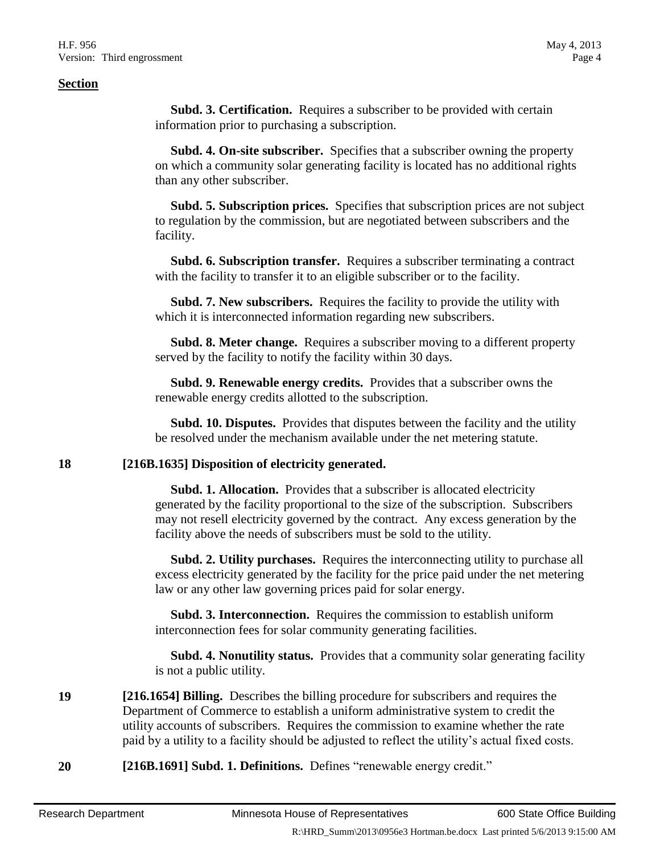**Subd. 3. Certification.** Requires a subscriber to be provided with certain information prior to purchasing a subscription.

 **Subd. 4. On-site subscriber.** Specifies that a subscriber owning the property on which a community solar generating facility is located has no additional rights than any other subscriber.

 **Subd. 5. Subscription prices.** Specifies that subscription prices are not subject to regulation by the commission, but are negotiated between subscribers and the facility.

 **Subd. 6. Subscription transfer.** Requires a subscriber terminating a contract with the facility to transfer it to an eligible subscriber or to the facility.

 **Subd. 7. New subscribers.** Requires the facility to provide the utility with which it is interconnected information regarding new subscribers.

 **Subd. 8. Meter change.** Requires a subscriber moving to a different property served by the facility to notify the facility within 30 days.

 **Subd. 9. Renewable energy credits.** Provides that a subscriber owns the renewable energy credits allotted to the subscription.

 **Subd. 10. Disputes.** Provides that disputes between the facility and the utility be resolved under the mechanism available under the net metering statute.

#### **18 [216B.1635] Disposition of electricity generated.**

 **Subd. 1. Allocation.** Provides that a subscriber is allocated electricity generated by the facility proportional to the size of the subscription. Subscribers may not resell electricity governed by the contract. Any excess generation by the facility above the needs of subscribers must be sold to the utility.

 **Subd. 2. Utility purchases.** Requires the interconnecting utility to purchase all excess electricity generated by the facility for the price paid under the net metering law or any other law governing prices paid for solar energy.

 **Subd. 3. Interconnection.** Requires the commission to establish uniform interconnection fees for solar community generating facilities.

 **Subd. 4. Nonutility status.** Provides that a community solar generating facility is not a public utility.

**19 [216.1654] Billing.** Describes the billing procedure for subscribers and requires the Department of Commerce to establish a uniform administrative system to credit the utility accounts of subscribers. Requires the commission to examine whether the rate paid by a utility to a facility should be adjusted to reflect the utility's actual fixed costs.

**20 [216B.1691] Subd. 1. Definitions.** Defines "renewable energy credit."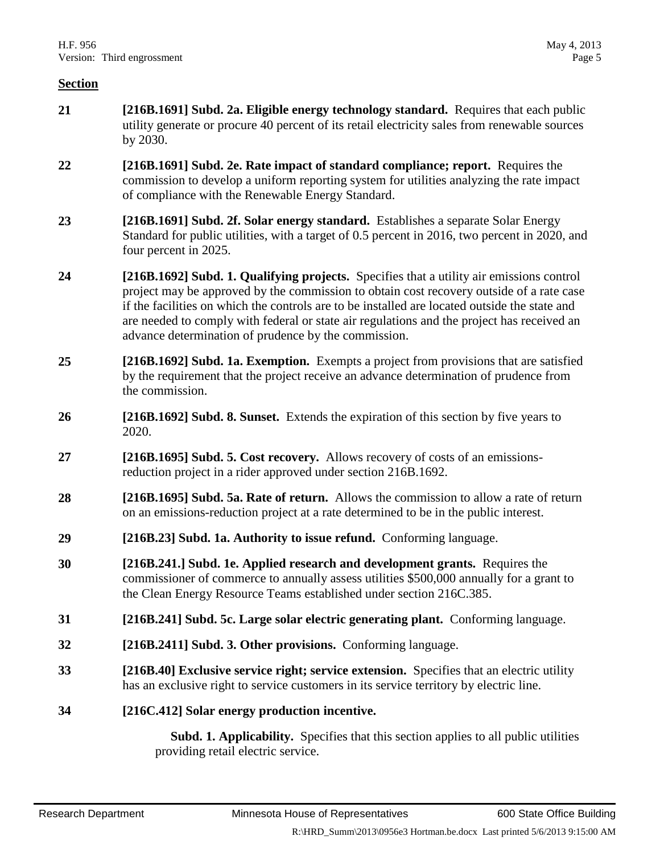- **21 [216B.1691] Subd. 2a. Eligible energy technology standard.** Requires that each public utility generate or procure 40 percent of its retail electricity sales from renewable sources by 2030.
- **22 [216B.1691] Subd. 2e. Rate impact of standard compliance; report.** Requires the commission to develop a uniform reporting system for utilities analyzing the rate impact of compliance with the Renewable Energy Standard.
- **23 [216B.1691] Subd. 2f. Solar energy standard.** Establishes a separate Solar Energy Standard for public utilities, with a target of 0.5 percent in 2016, two percent in 2020, and four percent in 2025.
- **24 [216B.1692] Subd. 1. Qualifying projects.** Specifies that a utility air emissions control project may be approved by the commission to obtain cost recovery outside of a rate case if the facilities on which the controls are to be installed are located outside the state and are needed to comply with federal or state air regulations and the project has received an advance determination of prudence by the commission.
- **25 [216B.1692] Subd. 1a. Exemption.** Exempts a project from provisions that are satisfied by the requirement that the project receive an advance determination of prudence from the commission.
- **26 [216B.1692] Subd. 8. Sunset.** Extends the expiration of this section by five years to 2020.
- **27 [216B.1695] Subd. 5. Cost recovery.** Allows recovery of costs of an emissionsreduction project in a rider approved under section 216B.1692.
- **28 [216B.1695] Subd. 5a. Rate of return.** Allows the commission to allow a rate of return on an emissions-reduction project at a rate determined to be in the public interest.
- **29 [216B.23] Subd. 1a. Authority to issue refund.** Conforming language.
- **30 [216B.241.] Subd. 1e. Applied research and development grants.** Requires the commissioner of commerce to annually assess utilities \$500,000 annually for a grant to the Clean Energy Resource Teams established under section 216C.385.
- **31 [216B.241] Subd. 5c. Large solar electric generating plant.** Conforming language.
- **32 [216B.2411] Subd. 3. Other provisions.** Conforming language.
- **33 [216B.40] Exclusive service right; service extension.** Specifies that an electric utility has an exclusive right to service customers in its service territory by electric line.
- **34 [216C.412] Solar energy production incentive.**

 **Subd. 1. Applicability.** Specifies that this section applies to all public utilities providing retail electric service.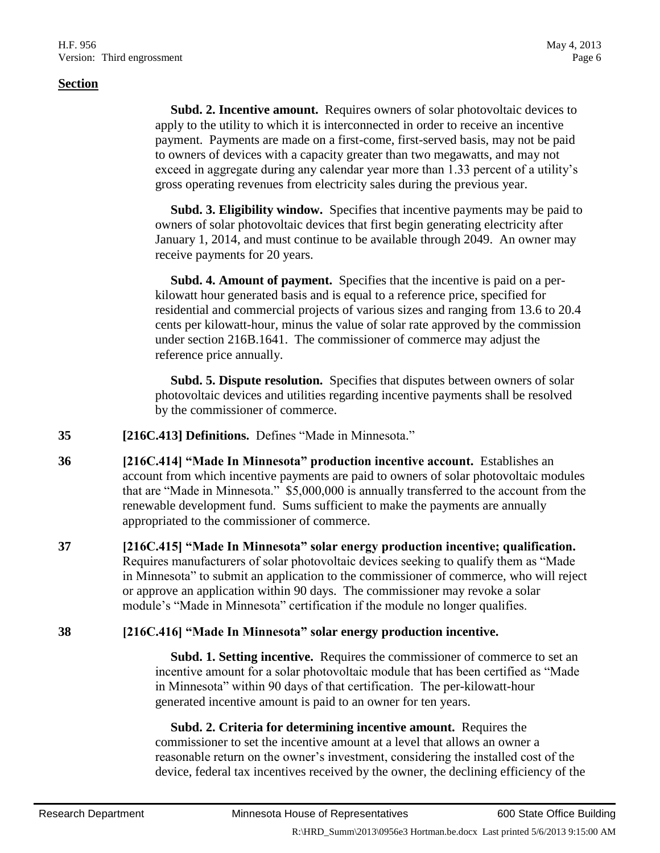**Subd. 2. Incentive amount.** Requires owners of solar photovoltaic devices to apply to the utility to which it is interconnected in order to receive an incentive payment. Payments are made on a first-come, first-served basis, may not be paid to owners of devices with a capacity greater than two megawatts, and may not exceed in aggregate during any calendar year more than 1.33 percent of a utility's gross operating revenues from electricity sales during the previous year.

 **Subd. 3. Eligibility window.** Specifies that incentive payments may be paid to owners of solar photovoltaic devices that first begin generating electricity after January 1, 2014, and must continue to be available through 2049. An owner may receive payments for 20 years.

 **Subd. 4. Amount of payment.** Specifies that the incentive is paid on a perkilowatt hour generated basis and is equal to a reference price, specified for residential and commercial projects of various sizes and ranging from 13.6 to 20.4 cents per kilowatt-hour, minus the value of solar rate approved by the commission under section 216B.1641. The commissioner of commerce may adjust the reference price annually.

 **Subd. 5. Dispute resolution.** Specifies that disputes between owners of solar photovoltaic devices and utilities regarding incentive payments shall be resolved by the commissioner of commerce.

- **35 [216C.413] Definitions.** Defines "Made in Minnesota."
- **36 [216C.414] "Made In Minnesota" production incentive account.** Establishes an account from which incentive payments are paid to owners of solar photovoltaic modules that are "Made in Minnesota." \$5,000,000 is annually transferred to the account from the renewable development fund. Sums sufficient to make the payments are annually appropriated to the commissioner of commerce.
- **37 [216C.415] "Made In Minnesota" solar energy production incentive; qualification.** Requires manufacturers of solar photovoltaic devices seeking to qualify them as "Made in Minnesota" to submit an application to the commissioner of commerce, who will reject or approve an application within 90 days. The commissioner may revoke a solar module's "Made in Minnesota" certification if the module no longer qualifies.

# **38 [216C.416] "Made In Minnesota" solar energy production incentive.**

 **Subd. 1. Setting incentive.** Requires the commissioner of commerce to set an incentive amount for a solar photovoltaic module that has been certified as "Made in Minnesota" within 90 days of that certification. The per-kilowatt-hour generated incentive amount is paid to an owner for ten years.

 **Subd. 2. Criteria for determining incentive amount.** Requires the commissioner to set the incentive amount at a level that allows an owner a reasonable return on the owner's investment, considering the installed cost of the device, federal tax incentives received by the owner, the declining efficiency of the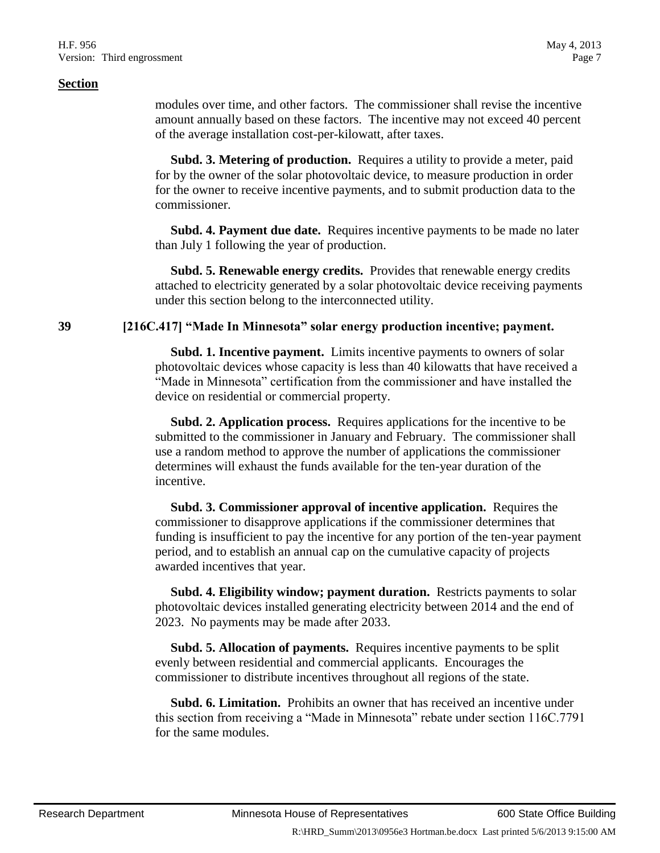modules over time, and other factors. The commissioner shall revise the incentive amount annually based on these factors. The incentive may not exceed 40 percent of the average installation cost-per-kilowatt, after taxes.

 **Subd. 3. Metering of production.** Requires a utility to provide a meter, paid for by the owner of the solar photovoltaic device, to measure production in order for the owner to receive incentive payments, and to submit production data to the commissioner.

 **Subd. 4. Payment due date.** Requires incentive payments to be made no later than July 1 following the year of production.

 **Subd. 5. Renewable energy credits.** Provides that renewable energy credits attached to electricity generated by a solar photovoltaic device receiving payments under this section belong to the interconnected utility.

# **39 [216C.417] "Made In Minnesota" solar energy production incentive; payment.**

 **Subd. 1. Incentive payment.** Limits incentive payments to owners of solar photovoltaic devices whose capacity is less than 40 kilowatts that have received a "Made in Minnesota" certification from the commissioner and have installed the device on residential or commercial property.

 **Subd. 2. Application process.** Requires applications for the incentive to be submitted to the commissioner in January and February. The commissioner shall use a random method to approve the number of applications the commissioner determines will exhaust the funds available for the ten-year duration of the incentive.

 **Subd. 3. Commissioner approval of incentive application.** Requires the commissioner to disapprove applications if the commissioner determines that funding is insufficient to pay the incentive for any portion of the ten-year payment period, and to establish an annual cap on the cumulative capacity of projects awarded incentives that year.

 **Subd. 4. Eligibility window; payment duration.** Restricts payments to solar photovoltaic devices installed generating electricity between 2014 and the end of 2023. No payments may be made after 2033.

 **Subd. 5. Allocation of payments.** Requires incentive payments to be split evenly between residential and commercial applicants. Encourages the commissioner to distribute incentives throughout all regions of the state.

 **Subd. 6. Limitation.** Prohibits an owner that has received an incentive under this section from receiving a "Made in Minnesota" rebate under section 116C.7791 for the same modules.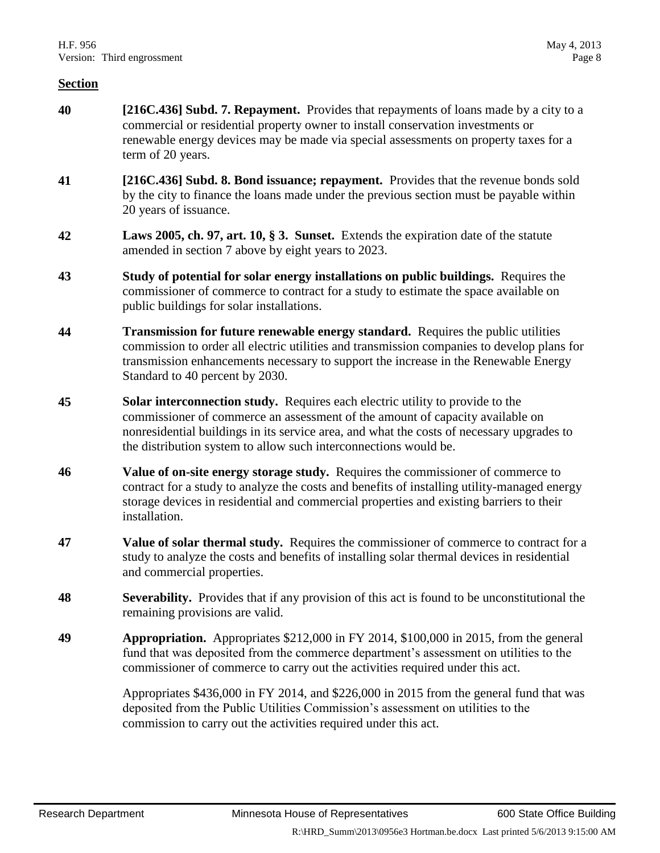- **40 [216C.436] Subd. 7. Repayment.** Provides that repayments of loans made by a city to a commercial or residential property owner to install conservation investments or renewable energy devices may be made via special assessments on property taxes for a term of 20 years.
- **41 [216C.436] Subd. 8. Bond issuance; repayment.** Provides that the revenue bonds sold by the city to finance the loans made under the previous section must be payable within 20 years of issuance.
- **42 Laws 2005, ch. 97, art. 10, § 3. Sunset.** Extends the expiration date of the statute amended in section [7](#page-1-0) above by eight years to 2023.
- **43 Study of potential for solar energy installations on public buildings.** Requires the commissioner of commerce to contract for a study to estimate the space available on public buildings for solar installations.
- **44 Transmission for future renewable energy standard.** Requires the public utilities commission to order all electric utilities and transmission companies to develop plans for transmission enhancements necessary to support the increase in the Renewable Energy Standard to 40 percent by 2030.
- **45 Solar interconnection study.** Requires each electric utility to provide to the commissioner of commerce an assessment of the amount of capacity available on nonresidential buildings in its service area, and what the costs of necessary upgrades to the distribution system to allow such interconnections would be.
- **46 Value of on-site energy storage study.** Requires the commissioner of commerce to contract for a study to analyze the costs and benefits of installing utility-managed energy storage devices in residential and commercial properties and existing barriers to their installation.
- **47 Value of solar thermal study.** Requires the commissioner of commerce to contract for a study to analyze the costs and benefits of installing solar thermal devices in residential and commercial properties.
- **48 Severability.** Provides that if any provision of this act is found to be unconstitutional the remaining provisions are valid.
- **49 Appropriation.** Appropriates \$212,000 in FY 2014, \$100,000 in 2015, from the general fund that was deposited from the commerce department's assessment on utilities to the commissioner of commerce to carry out the activities required under this act.

Appropriates \$436,000 in FY 2014, and \$226,000 in 2015 from the general fund that was deposited from the Public Utilities Commission's assessment on utilities to the commission to carry out the activities required under this act.